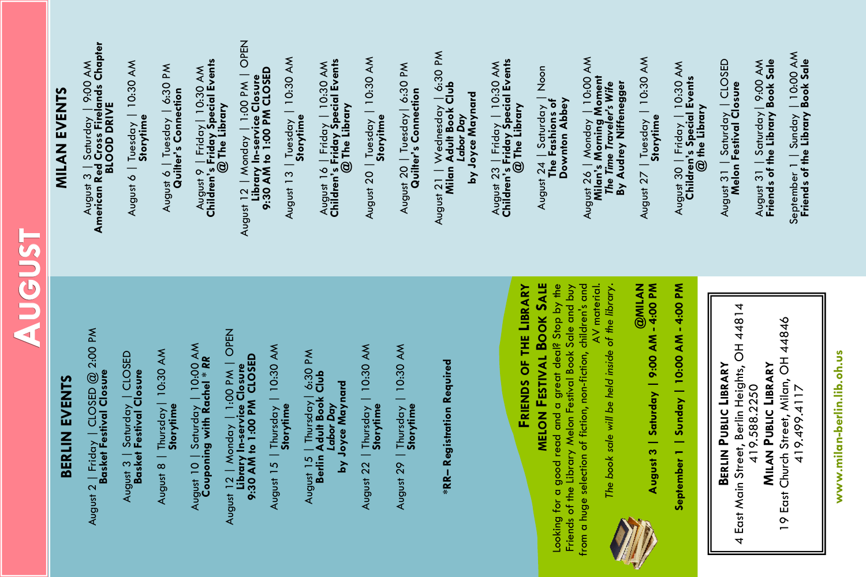# **AUGUST**

### **BERLIN EVENTS** BERLIN EVENTS

August 2 | Friday | CLOSED @ 2:00 PM<br>**Basket Festival Closure** August 2 | Friday | CLOSED @ 2:00 PM **Basket Festival Closure**

| CLOSED August 3 | Saturday | CLOSED August 3 | Saturday | CLO<br>**Basket Festival Closure Basket Festival Closure**

August 8 | Thursday| 10:30 AM August 8 | Thursday | 10:30 AM<br>**Storytime**  August 10 | Saturday | 10:00 AM<br>Couponing with Rachel \* RR August 10 | Saturday | 10:00 AM **Couponing with Rachel** *\* RR*  $\begin{array}{l} \mathsf{Avgust\ 12}\mid\mathsf{Monday}\mid\mathsf{1:OO\ PM}\mid\mathsf{OPEN} \ \mathsf{Linear} \mid\mathsf{In} \mathsf{service}\ \mathsf{Closure} \ \mathsf{9:30\ AM}\ \mathsf{10}\ \mathsf{1:OO}\ \mathsf{PM}\ \mathsf{CLOSED} \end{array}$ August 12 | Monday | 1:00 PM | OPEN **9:30 AM to 1:00 PM CLOSED Library In-service Closure**

August 15 | Thursday | 10:30 AM August 1*5* | Thursday | 10:30 AM<br>**Storytime** 

August 15 | Thursday| 6:30 PM **Berlin Adult Book Club** August 1*5* | Thursday| 6:30 PM<br>**Berlin Adult Book Club**<br>Labor Day<br>by Joyce Maynard **by Joyce Maynard**

August 22 | Thursday | 10:30 AM August 22 | Thursday | 10:30 AM<br>**Storytime**  | Thursday | 10:30 AM<br>**Storytime** August 29 | Thursday | 10:30 AM August 29

**\*RR-Registration Required \*RR– Registration Required**

## **MILAN EVENTS MILAN EVENTS**

August 3 | Saturday | 9:00 AM<br>American Red Cross Firelands Chapter<br>BLOOD DRIVE **American Red Cross Firelands Chapter** August 3 | Saturday | 9:00 AM **BLOOD DRIVE**

August 6 | Tuesday | 10:30 AM August 6 | Tuesday | 10:30 AM<br>**Storytime** 

August 6 | Tuesday | 6:30 PM<br>**Quilter's Connection** August 6 | Tuesday | 6:30 PM **Quilter's Connection** 

August 9 | Friday| 10:30 AM **Children's Friday Special Events**  August 9 | Friday | 10:30 AM<br>**Children's Friday Special Events**<br>@ The Library

August 12 | Monday | 71 tsppd August 12 | Monday | 1:00 PM | OPEN<br>Library In-service Closure<br>9:30 AM to 1:00 PM CLOSED **9:30 AM to 1:00 PM CLOSED Library In-service Closure**

August 13 | Tuesday | 10:30 AM August 13 | Tuesday | 10:30 AM **Storytime**

August 16 | Friday | 10:30 AM **Children's Friday Special Events** August 16 | Friday | 10:30 AM<br>**Children's Friday Special Events**<br>@ The Library

August 20 | Tuesday | 10:30 AM August 20 | Tuesday | 10:30 AM<br>**Storyitme** 

August 20 | Tuesday| 6:30 PM August 20 | Tuesday | 6:30 PM **Quilter's Connection Quilter's Connection**

 $6:30 P/M$ August 21 | Wednesday | 6:30 PM August 21 | Wednesday | 6:<br>Milan **Adult Book Club**<br>Labor Day<br>Labyce Maynard<br>Lay Joyce Maynard **Milan Adult Book Club by Joyce Maynard**

August 23 | Friday | 10:30 AM **Children's Friday Special Events** August 23 | Friday | 10:30 AM<br>**Children's Friday Special Events**<br>@ The Library

August 24 | Saturday | Noon<br>The Fashions of August 24 | Saturday | Noon **The Fashions of** 

**Milan's Morning Moment**



August 26 | Monday | 10:00 AM<br>| Milan's Morning Moment<br>| The Time Traveler's Wife August 26 | Monday | 10:00 AM *The Time Traveler's Wife*









August 27 | Tuesday | 10:30 AM August 27 | Tuesday | 10:30 AM

**Storytime** August 30 | Friday | 10:30 AM<br>**Children's Special Events**<br>@ the Library

August 30 | Friday | 10:30 AM **Children's Special Events**  August 31 | Saturday | CLOSED **Melon Festival Closure** August 31 | Saturday| 9:00 AM **Friends of the Library Book Sale** September 1 | Sunday | 10:00 AM **Friends of the Library Book Sale** 

August 31

Jst 31 | Saturday | CLOSED<br>Melon Festival Closure

19 East Church Street, Milan, OH 44846 19 East Church Street, Milan, OH 44846 419.588.2250<br>Milan Public Library **MILAN PUBLIC LIBRARY**

419.499.4117

September 1 | Sunday | 10:00 AM<br>Friends of the Library Book Sale

August 31 | Saturday | 9:00 AM<br>Friends of the Library Book Sale

**www.milan-berlin.lib.oh.us** 

www.milan-berlin.lib.oh.us

4 East Main Street, Berlin Heights, OH 44814 4 East Main Street, Berlin Heights, OH 44814 **BERLIN PUBLIC LIBRARY BERLIN PUBLIC LIBRARY**

September 1 | Sunday | 10:00 AM - 4:00 PM **September 1 | Sunday | 10:00 AM - 4:00 PM**

**@MILAN August 3 | Saturday | 9:00 AM - 4:00 PM** 



AV material. *The book sale will be held inside of the library.*  The book sale will be held inside of the library.

Looking for a good read and a great deal? Stop by the Friends of the Library Melon Festival Book Sale and buy from a huge selection of fiction, non-fiction, children's and Looking for a good read and a great deal? Stop by the Friends of the Library Melon Festival Book Sale and buy from a huge selection of fiction, non-fiction, children's and AV material.

**MELON FESTIVAL BOOK SALE** FRIENDS OF THE LIBRARY **FRIENDS OF THE LIBRARY MELON FESTIVAL BOOK SALE**